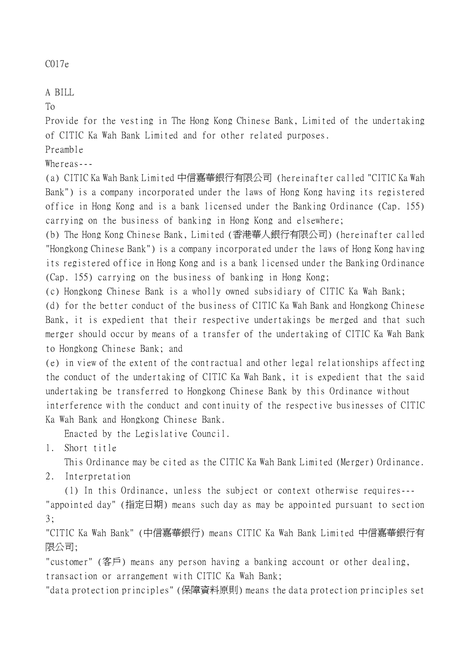## C017e

## A BILL

To

Provide for the vesting in The Hong Kong Chinese Bank, Limited of the undertaking of CITIC Ka Wah Bank Limited and for other related purposes.

Preamble

Whereas---

(a) CITIC Ka Wah Bank Limited 中信嘉華銀行有限公司 (hereinafter called "CITIC Ka Wah Bank") is a company incorporated under the laws of Hong Kong having its registered office in Hong Kong and is a bank licensed under the Banking Ordinance (Cap. 155) carrying on the business of banking in Hong Kong and elsewhere;

(b) The Hong Kong Chinese Bank, Limited (香港華人銀行有限公司) (hereinafter called "Hongkong Chinese Bank") is a company incorporated under the laws of Hong Kong having its registered office in Hong Kong and is a bank licensed under the Banking Ordinance (Cap. 155) carrying on the business of banking in Hong Kong;

(c) Hongkong Chinese Bank is a wholly owned subsidiary of CITIC Ka Wah Bank;

(d) for the better conduct of the business of CITIC Ka Wah Bank and Hongkong Chinese Bank, it is expedient that their respective undertakings be merged and that such merger should occur by means of a transfer of the undertaking of CITIC Ka Wah Bank to Hongkong Chinese Bank; and

(e) in view of the extent of the contractual and other legal relationships affecting the conduct of the undertaking of CITIC Ka Wah Bank, it is expedient that the said undertaking be transferred to Hongkong Chinese Bank by this Ordinance without interference with the conduct and continuity of the respective businesses of CITIC Ka Wah Bank and Hongkong Chinese Bank.

Enacted by the Legislative Council.

1. Short title

This Ordinance may be cited as the CITIC Ka Wah Bank Limited (Merger) Ordinance.

2. Interpretation

(1) In this Ordinance, unless the subject or context otherwise requires--- "appointed day" (指定日期) means such day as may be appointed pursuant to section 3;

"CITIC Ka Wah Bank" (中信嘉華銀行) means CITIC Ka Wah Bank Limited 中信嘉華銀行有 限公司;

"customer" (客戶) means any person having a banking account or other dealing, transaction or arrangement with CITIC Ka Wah Bank;

"data protection principles" (保障資料原則) means the data protection principles set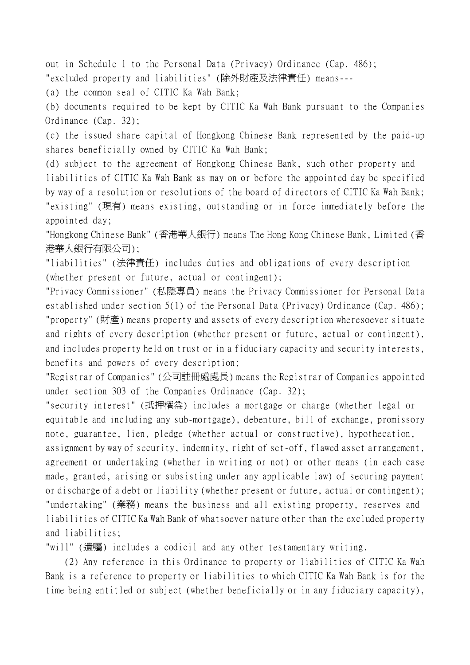out in Schedule 1 to the Personal Data (Privacy) Ordinance (Cap. 486); "excluded property and liabilities" (除外財產及法律責任) means---

(a) the common seal of CITIC Ka Wah Bank;

(b) documents required to be kept by CITIC Ka Wah Bank pursuant to the Companies Ordinance (Cap. 32);

(c) the issued share capital of Hongkong Chinese Bank represented by the paid-up shares beneficially owned by CITIC Ka Wah Bank;

(d) subject to the agreement of Hongkong Chinese Bank, such other property and liabilities of CITIC Ka Wah Bank as may on or before the appointed day be specified by way of a resolution or resolutions of the board of directors of CITIC Ka Wah Bank; "existing" (現有) means existing, outstanding or in force immediately before the appointed day;

"Hongkong Chinese Bank" (香港華人銀行) means The Hong Kong Chinese Bank, Limited (香 港華人銀行有限公司);

"liabilities" (法律責任) includes duties and obligations of every description (whether present or future, actual or contingent);

"Privacy Commissioner" (私隱專員) means the Privacy Commissioner for Personal Data established under section 5(1) of the Personal Data (Privacy) Ordinance (Cap. 486); "property" (財產) means property and assets of every description wheresoever situate and rights of every description (whether present or future, actual or contingent), and includes property held on trust or in a fiduciary capacity and security interests, benefits and powers of every description;

"Registrar of Companies" (公司註冊處處長) means the Registrar of Companies appointed under section 303 of the Companies Ordinance (Cap. 32);

"security interest" (抵押權益) includes a mortgage or charge (whether legal or equitable and including any sub-mortgage), debenture, bill of exchange, promissory note, guarantee, lien, pledge (whether actual or constructive), hypothecation, assignment by way of security, indemnity, right of set-off, flawed asset arrangement, agreement or undertaking (whether in writing or not) or other means (in each case made, granted, arising or subsisting under any applicable law) of securing payment or discharge of a debt or liability (whether present or future, actual or contingent); "undertaking" (業務) means the business and all existing property, reserves and liabilities of CITIC Ka Wah Bank of whatsoever nature other than the excluded property and liabilities;

"will" (遺囑) includes a codicil and any other testamentary writing.

(2) Any reference in this Ordinance to property or liabilities of CITIC Ka Wah Bank is a reference to property or liabilities to which CITIC Ka Wah Bank is for the time being entitled or subject (whether beneficially or in any fiduciary capacity),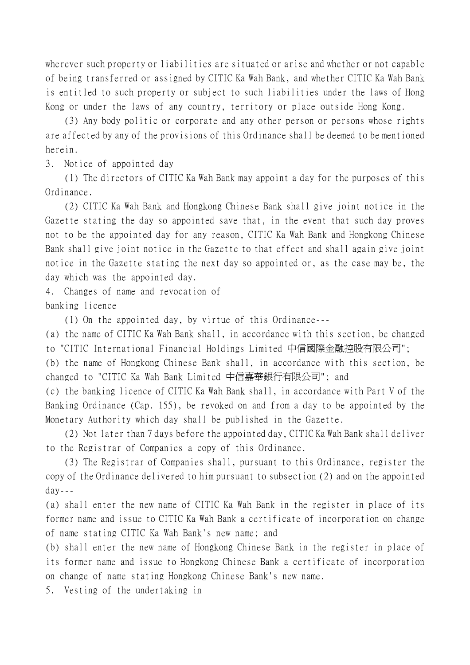wherever such property or liabilities are situated or arise and whether or not capable of being transferred or assigned by CITIC Ka Wah Bank, and whether CITIC Ka Wah Bank is entitled to such property or subject to such liabilities under the laws of Hong Kong or under the laws of any country, territory or place outside Hong Kong.

(3) Any body politic or corporate and any other person or persons whose rights are affected by any of the provisions of this Ordinance shall be deemed to be mentioned herein.

3. Notice of appointed day

(1) The directors of CITIC Ka Wah Bank may appoint a day for the purposes of this Ordinance.

(2) CITIC Ka Wah Bank and Hongkong Chinese Bank shall give joint notice in the Gazette stating the day so appointed save that, in the event that such day proves not to be the appointed day for any reason, CITIC Ka Wah Bank and Hongkong Chinese Bank shall give joint notice in the Gazette to that effect and shall again give joint notice in the Gazette stating the next day so appointed or, as the case may be, the day which was the appointed day.

4. Changes of name and revocation of banking licence

(1) On the appointed day, by virtue of this Ordinance---

(a) the name of CITIC Ka Wah Bank shall, in accordance with this section, be changed to "CITIC International Financial Holdings Limited 中信國際金融控股有限公司";

(b) the name of Hongkong Chinese Bank shall, in accordance with this section, be changed to "CITIC Ka Wah Bank Limited 中信嘉華銀行有限公司"; and

(c) the banking licence of CITIC Ka Wah Bank shall, in accordance with Part V of the Banking Ordinance (Cap. 155), be revoked on and from a day to be appointed by the Monetary Authority which day shall be published in the Gazette.

(2) Not later than 7 days before the appointed day, CITIC Ka Wah Bank shall deliver to the Registrar of Companies a copy of this Ordinance.

(3) The Registrar of Companies shall, pursuant to this Ordinance, register the copy of the Ordinance delivered to him pursuant to subsection (2) and on the appointed day---

(a) shall enter the new name of CITIC Ka Wah Bank in the register in place of its former name and issue to CITIC Ka Wah Bank a certificate of incorporation on change of name stating CITIC Ka Wah Bank's new name; and

(b) shall enter the new name of Hongkong Chinese Bank in the register in place of its former name and issue to Hongkong Chinese Bank a certificate of incorporation on change of name stating Hongkong Chinese Bank's new name.

5. Vesting of the undertaking in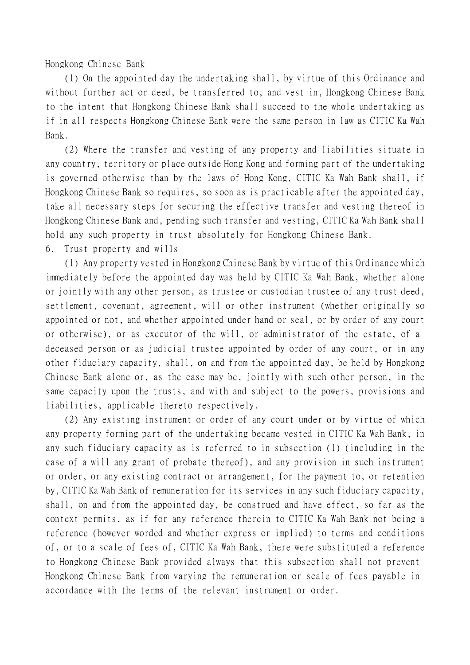Hongkong Chinese Bank

(1) On the appointed day the undertaking shall, by virtue of this Ordinance and without further act or deed, be transferred to, and vest in, Hongkong Chinese Bank to the intent that Hongkong Chinese Bank shall succeed to the whole undertaking as if in all respects Hongkong Chinese Bank were the same person in law as CITIC Ka Wah Bank.

(2) Where the transfer and vesting of any property and liabilities situate in any country, territory or place outside Hong Kong and forming part of the undertaking is governed otherwise than by the laws of Hong Kong, CITIC Ka Wah Bank shall, if Hongkong Chinese Bank so requires, so soon as is practicable after the appointed day, take all necessary steps for securing the effective transfer and vesting thereof in Hongkong Chinese Bank and, pending such transfer and vesting, CITIC Ka Wah Bank shall hold any such property in trust absolutely for Hongkong Chinese Bank.

6. Trust property and wills

(1) Any property vested in Hongkong Chinese Bank by virtue of this Ordinance which immediately before the appointed day was held by CITIC Ka Wah Bank, whether alone or jointly with any other person, as trustee or custodian trustee of any trust deed, settlement, covenant, agreement, will or other instrument (whether originally so appointed or not, and whether appointed under hand or seal, or by order of any court or otherwise), or as executor of the will, or administrator of the estate, of a deceased person or as judicial trustee appointed by order of any court, or in any other fiduciary capacity, shall, on and from the appointed day, be held by Hongkong Chinese Bank alone or, as the case may be, jointly with such other person, in the same capacity upon the trusts, and with and subject to the powers, provisions and liabilities, applicable thereto respectively.

(2) Any existing instrument or order of any court under or by virtue of which any property forming part of the undertaking became vested in CITIC Ka Wah Bank, in any such fiduciary capacity as is referred to in subsection (1) (including in the case of a will any grant of probate thereof), and any provision in such instrument or order, or any existing contract or arrangement, for the payment to, or retention by, CITIC Ka Wah Bank of remuneration for its services in any such fiduciary capacity, shall, on and from the appointed day, be construed and have effect, so far as the context permits, as if for any reference therein to CITIC Ka Wah Bank not being a reference (however worded and whether express or implied) to terms and conditions of, or to a scale of fees of, CITIC Ka Wah Bank, there were substituted a reference to Hongkong Chinese Bank provided always that this subsection shall not prevent Hongkong Chinese Bank from varying the remuneration or scale of fees payable in accordance with the terms of the relevant instrument or order.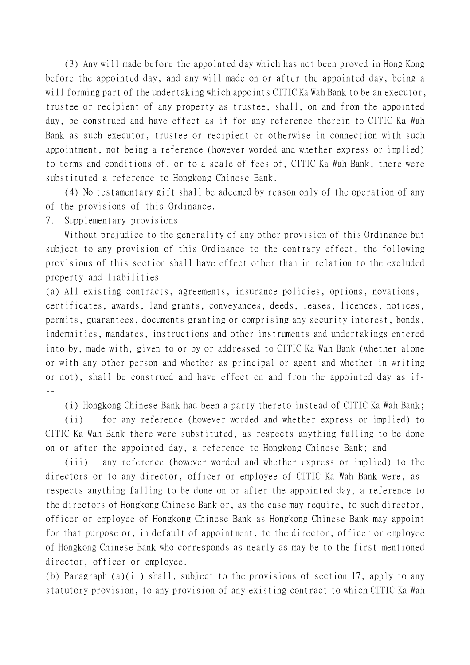(3) Any will made before the appointed day which has not been proved in Hong Kong before the appointed day, and any will made on or after the appointed day, being a will forming part of the undertaking which appoints CITIC Ka Wah Bank to be an executor, trustee or recipient of any property as trustee, shall, on and from the appointed day, be construed and have effect as if for any reference therein to CITIC Ka Wah Bank as such executor, trustee or recipient or otherwise in connection with such appointment, not being a reference (however worded and whether express or implied) to terms and conditions of, or to a scale of fees of, CITIC Ka Wah Bank, there were substituted a reference to Hongkong Chinese Bank.

(4) No testamentary gift shall be adeemed by reason only of the operation of any of the provisions of this Ordinance.

7. Supplementary provisions

Without prejudice to the generality of any other provision of this Ordinance but subject to any provision of this Ordinance to the contrary effect, the following provisions of this section shall have effect other than in relation to the excluded property and liabilities---

(a) All existing contracts, agreements, insurance policies, options, novations, certificates, awards, land grants, conveyances, deeds, leases, licences, notices, permits, guarantees, documents granting or comprising any security interest, bonds, indemnities, mandates, instructions and other instruments and undertakings entered into by, made with, given to or by or addressed to CITIC Ka Wah Bank (whether alone or with any other person and whether as principal or agent and whether in writing or not), shall be construed and have effect on and from the appointed day as if- --

(i) Hongkong Chinese Bank had been a party thereto instead of CITIC Ka Wah Bank;

(ii) for any reference (however worded and whether express or implied) to CITIC Ka Wah Bank there were substituted, as respects anything falling to be done on or after the appointed day, a reference to Hongkong Chinese Bank; and

(iii) any reference (however worded and whether express or implied) to the directors or to any director, officer or employee of CITIC Ka Wah Bank were, as respects anything falling to be done on or after the appointed day, a reference to the directors of Hongkong Chinese Bank or, as the case may require, to such director, officer or employee of Hongkong Chinese Bank as Hongkong Chinese Bank may appoint for that purpose or, in default of appointment, to the director, officer or employee of Hongkong Chinese Bank who corresponds as nearly as may be to the first-mentioned director, officer or employee.

(b) Paragraph (a)(ii) shall, subject to the provisions of section 17, apply to any statutory provision, to any provision of any existing contract to which CITIC Ka Wah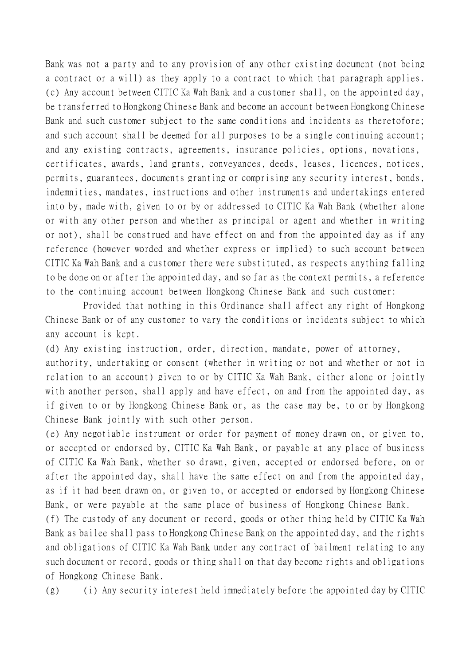Bank was not a party and to any provision of any other existing document (not being a contract or a will) as they apply to a contract to which that paragraph applies. (c) Any account between CITIC Ka Wah Bank and a customer shall, on the appointed day, be transferred to Hongkong Chinese Bank and become an account between Hongkong Chinese Bank and such customer subject to the same conditions and incidents as theretofore; and such account shall be deemed for all purposes to be a single continuing account; and any existing contracts, agreements, insurance policies, options, novations, certificates, awards, land grants, conveyances, deeds, leases, licences, notices, permits, guarantees, documents granting or comprising any security interest, bonds, indemnities, mandates, instructions and other instruments and undertakings entered into by, made with, given to or by or addressed to CITIC Ka Wah Bank (whether alone or with any other person and whether as principal or agent and whether in writing or not), shall be construed and have effect on and from the appointed day as if any reference (however worded and whether express or implied) to such account between CITIC Ka Wah Bank and a customer there were substituted, as respects anything falling to be done on or after the appointed day, and so far as the context permits, a reference to the continuing account between Hongkong Chinese Bank and such customer:

Provided that nothing in this Ordinance shall affect any right of Hongkong Chinese Bank or of any customer to vary the conditions or incidents subject to which any account is kept.

(d) Any existing instruction, order, direction, mandate, power of attorney,

authority, undertaking or consent (whether in writing or not and whether or not in relation to an account) given to or by CITIC Ka Wah Bank, either alone or jointly with another person, shall apply and have effect, on and from the appointed day, as if given to or by Hongkong Chinese Bank or, as the case may be, to or by Hongkong Chinese Bank jointly with such other person.

(e) Any negotiable instrument or order for payment of money drawn on, or given to, or accepted or endorsed by, CITIC Ka Wah Bank, or payable at any place of business of CITIC Ka Wah Bank, whether so drawn, given, accepted or endorsed before, on or after the appointed day, shall have the same effect on and from the appointed day, as if it had been drawn on, or given to, or accepted or endorsed by Hongkong Chinese Bank, or were payable at the same place of business of Hongkong Chinese Bank.

(f) The custody of any document or record, goods or other thing held by CITIC Ka Wah Bank as bailee shall pass to Hongkong Chinese Bank on the appointed day, and the rights and obligations of CITIC Ka Wah Bank under any contract of bailment relating to any such document or record, goods or thing shall on that day become rights and obligations of Hongkong Chinese Bank.

(g) (i) Any security interest held immediately before the appointed day by CITIC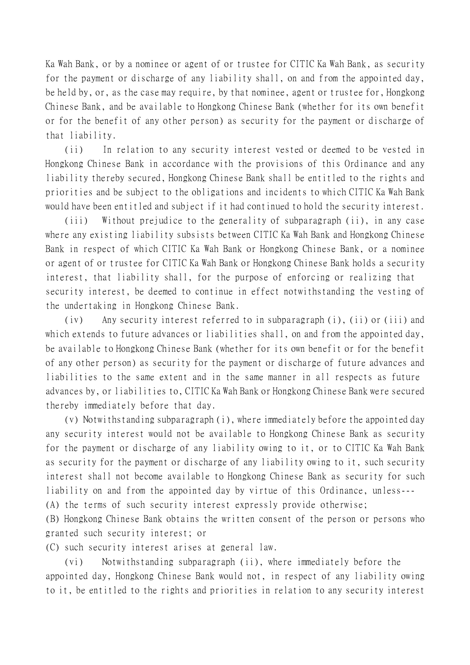Ka Wah Bank, or by a nominee or agent of or trustee for CITIC Ka Wah Bank, as security for the payment or discharge of any liability shall, on and from the appointed day, be held by, or, as the case may require, by that nominee, agent or trustee for, Hongkong Chinese Bank, and be available to Hongkong Chinese Bank (whether for its own benefit or for the benefit of any other person) as security for the payment or discharge of that liability.

(ii) In relation to any security interest vested or deemed to be vested in Hongkong Chinese Bank in accordance with the provisions of this Ordinance and any liability thereby secured, Hongkong Chinese Bank shall be entitled to the rights and priorities and be subject to the obligations and incidents to which CITIC Ka Wah Bank would have been entitled and subject if it had continued to hold the security interest.

(iii) Without prejudice to the generality of subparagraph (ii), in any case where any existing liability subsists between CITIC Ka Wah Bank and Hongkong Chinese Bank in respect of which CITIC Ka Wah Bank or Hongkong Chinese Bank, or a nominee or agent of or trustee for CITIC Ka Wah Bank or Hongkong Chinese Bank holds a security interest, that liability shall, for the purpose of enforcing or realizing that security interest, be deemed to continue in effect notwithstanding the vesting of the undertaking in Hongkong Chinese Bank.

(iv) Any security interest referred to in subparagraph (i), (ii) or (iii) and which extends to future advances or liabilities shall, on and from the appointed day, be available to Hongkong Chinese Bank (whether for its own benefit or for the benefit of any other person) as security for the payment or discharge of future advances and liabilities to the same extent and in the same manner in all respects as future advances by, or liabilities to, CITIC Ka Wah Bank or Hongkong Chinese Bank were secured thereby immediately before that day.

(v) Notwithstanding subparagraph (i), where immediately before the appointed day any security interest would not be available to Hongkong Chinese Bank as security for the payment or discharge of any liability owing to it, or to CITIC Ka Wah Bank as security for the payment or discharge of any liability owing to it, such security interest shall not become available to Hongkong Chinese Bank as security for such liability on and from the appointed day by virtue of this Ordinance, unless--- (A) the terms of such security interest expressly provide otherwise;

(B) Hongkong Chinese Bank obtains the written consent of the person or persons who granted such security interest; or

(C) such security interest arises at general law.

(vi) Notwithstanding subparagraph (ii), where immediately before the appointed day, Hongkong Chinese Bank would not, in respect of any liability owing to it, be entitled to the rights and priorities in relation to any security interest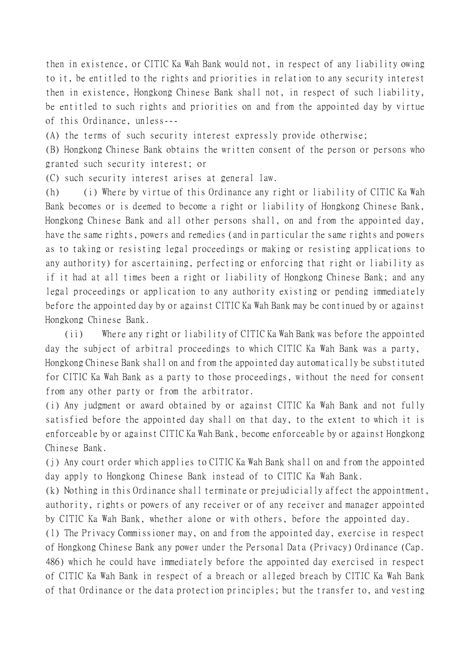then in existence, or CITIC Ka Wah Bank would not, in respect of any liability owing to it, be entitled to the rights and priorities in relation to any security interest then in existence, Hongkong Chinese Bank shall not, in respect of such liability, be entitled to such rights and priorities on and from the appointed day by virtue of this Ordinance, unless---

(A) the terms of such security interest expressly provide otherwise;

(B) Hongkong Chinese Bank obtains the written consent of the person or persons who granted such security interest; or

(C) such security interest arises at general law.

(h) (i) Where by virtue of this Ordinance any right or liability of CITIC Ka Wah Bank becomes or is deemed to become a right or liability of Hongkong Chinese Bank, Hongkong Chinese Bank and all other persons shall, on and from the appointed day, have the same rights, powers and remedies (and in particular the same rights and powers as to taking or resisting legal proceedings or making or resisting applications to any authority) for ascertaining, perfecting or enforcing that right or liability as if it had at all times been a right or liability of Hongkong Chinese Bank; and any legal proceedings or application to any authority existing or pending immediately before the appointed day by or against CITIC Ka Wah Bank may be continued by or against Hongkong Chinese Bank.

(ii) Where any right or liability of CITIC Ka Wah Bank was before the appointed day the subject of arbitral proceedings to which CITIC Ka Wah Bank was a party, Hongkong Chinese Bank shall on and from the appointed day automatically be substituted for CITIC Ka Wah Bank as a party to those proceedings, without the need for consent from any other party or from the arbitrator.

(i) Any judgment or award obtained by or against CITIC Ka Wah Bank and not fully satisfied before the appointed day shall on that day, to the extent to which it is enforceable by or against CITIC Ka Wah Bank, become enforceable by or against Hongkong Chinese Bank.

(j) Any court order which applies to CITIC Ka Wah Bank shall on and from the appointed day apply to Hongkong Chinese Bank instead of to CITIC Ka Wah Bank.

(k) Nothing in this Ordinance shall terminate or prejudicially affect the appointment, authority, rights or powers of any receiver or of any receiver and manager appointed by CITIC Ka Wah Bank, whether alone or with others, before the appointed day.

(l) The Privacy Commissioner may, on and from the appointed day, exercise in respect of Hongkong Chinese Bank any power under the Personal Data (Privacy) Ordinance (Cap. 486) which he could have immediately before the appointed day exercised in respect of CITIC Ka Wah Bank in respect of a breach or alleged breach by CITIC Ka Wah Bank of that Ordinance or the data protection principles; but the transfer to, and vesting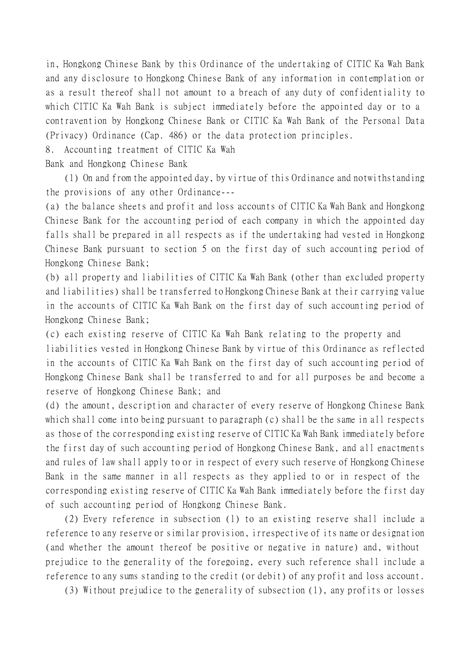in, Hongkong Chinese Bank by this Ordinance of the undertaking of CITIC Ka Wah Bank and any disclosure to Hongkong Chinese Bank of any information in contemplation or as a result thereof shall not amount to a breach of any duty of confidentiality to which CITIC Ka Wah Bank is subject immediately before the appointed day or to a contravention by Hongkong Chinese Bank or CITIC Ka Wah Bank of the Personal Data (Privacy) Ordinance (Cap. 486) or the data protection principles.

8. Accounting treatment of CITIC Ka Wah

Bank and Hongkong Chinese Bank

(1) On and from the appointed day, by virtue of this Ordinance and notwithstanding the provisions of any other Ordinance---

(a) the balance sheets and profit and loss accounts of CITIC Ka Wah Bank and Hongkong Chinese Bank for the accounting period of each company in which the appointed day falls shall be prepared in all respects as if the undertaking had vested in Hongkong Chinese Bank pursuant to section 5 on the first day of such accounting period of Hongkong Chinese Bank;

(b) all property and liabilities of CITIC Ka Wah Bank (other than excluded property and liabilities) shall be transferred to Hongkong Chinese Bank at their carrying value in the accounts of CITIC Ka Wah Bank on the first day of such accounting period of Hongkong Chinese Bank;

(c) each existing reserve of CITIC Ka Wah Bank relating to the property and liabilities vested in Hongkong Chinese Bank by virtue of this Ordinance as reflected in the accounts of CITIC Ka Wah Bank on the first day of such accounting period of Hongkong Chinese Bank shall be transferred to and for all purposes be and become a reserve of Hongkong Chinese Bank; and

(d) the amount, description and character of every reserve of Hongkong Chinese Bank which shall come into being pursuant to paragraph (c) shall be the same in all respects as those of the corresponding existing reserve of CITIC Ka Wah Bank immediately before the first day of such accounting period of Hongkong Chinese Bank, and all enactments and rules of law shall apply to or in respect of every such reserve of Hongkong Chinese Bank in the same manner in all respects as they applied to or in respect of the corresponding existing reserve of CITIC Ka Wah Bank immediately before the first day of such accounting period of Hongkong Chinese Bank.

(2) Every reference in subsection (1) to an existing reserve shall include a reference to any reserve or similar provision, irrespective of its name or designation (and whether the amount thereof be positive or negative in nature) and, without prejudice to the generality of the foregoing, every such reference shall include a reference to any sums standing to the credit (or debit) of any profit and loss account.

(3) Without prejudice to the generality of subsection (1), any profits or losses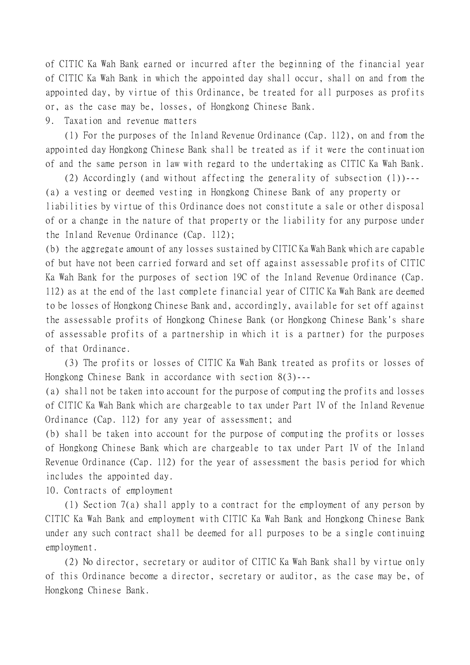of CITIC Ka Wah Bank earned or incurred after the beginning of the financial year of CITIC Ka Wah Bank in which the appointed day shall occur, shall on and from the appointed day, by virtue of this Ordinance, be treated for all purposes as profits or, as the case may be, losses, of Hongkong Chinese Bank.

9. Taxation and revenue matters

(1) For the purposes of the Inland Revenue Ordinance (Cap. 112), on and from the appointed day Hongkong Chinese Bank shall be treated as if it were the continuation of and the same person in law with regard to the undertaking as CITIC Ka Wah Bank.

(2) Accordingly (and without affecting the generality of subsection (1))--- (a) a vesting or deemed vesting in Hongkong Chinese Bank of any property or liabilities by virtue of this Ordinance does not constitute a sale or other disposal of or a change in the nature of that property or the liability for any purpose under the Inland Revenue Ordinance (Cap. 112);

(b) the aggregate amount of any losses sustained by CITIC Ka Wah Bank which are capable of but have not been carried forward and set off against assessable profits of CITIC Ka Wah Bank for the purposes of section 19C of the Inland Revenue Ordinance (Cap. 112) as at the end of the last complete financial year of CITIC Ka Wah Bank are deemed to be losses of Hongkong Chinese Bank and, accordingly, available for set off against the assessable profits of Hongkong Chinese Bank (or Hongkong Chinese Bank's share of assessable profits of a partnership in which it is a partner) for the purposes of that Ordinance.

(3) The profits or losses of CITIC Ka Wah Bank treated as profits or losses of Hongkong Chinese Bank in accordance with section 8(3)---

(a) shall not be taken into account for the purpose of computing the profits and losses of CITIC Ka Wah Bank which are chargeable to tax under Part IV of the Inland Revenue Ordinance (Cap. 112) for any year of assessment; and

(b) shall be taken into account for the purpose of computing the profits or losses of Hongkong Chinese Bank which are chargeable to tax under Part IV of the Inland Revenue Ordinance (Cap. 112) for the year of assessment the basis period for which includes the appointed day.

10. Contracts of employment

(1) Section 7(a) shall apply to a contract for the employment of any person by CITIC Ka Wah Bank and employment with CITIC Ka Wah Bank and Hongkong Chinese Bank under any such contract shall be deemed for all purposes to be a single continuing employment.

(2) No director, secretary or auditor of CITIC Ka Wah Bank shall by virtue only of this Ordinance become a director, secretary or auditor, as the case may be, of Hongkong Chinese Bank.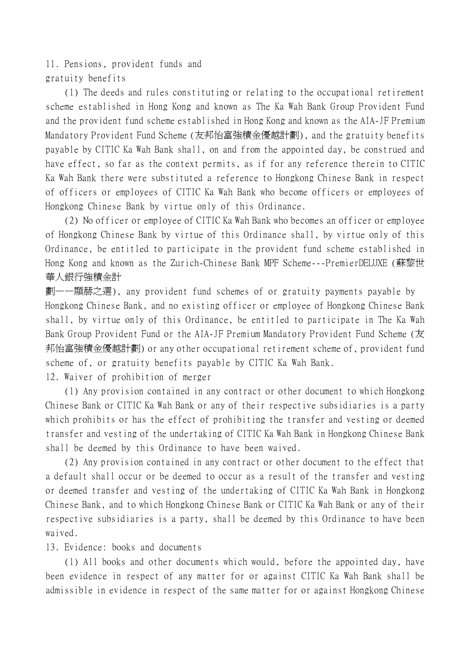11. Pensions, provident funds and gratuity benefits

(1) The deeds and rules constituting or relating to the occupational retirement scheme established in Hong Kong and known as The Ka Wah Bank Group Provident Fund and the provident fund scheme established in Hong Kong and known as the AIA-JF Premium Mandatory Provident Fund Scheme (友邦怡富強積金優越計劃), and the gratuity benefits payable by CITIC Ka Wah Bank shall, on and from the appointed day, be construed and have effect, so far as the context permits, as if for any reference therein to CITIC Ka Wah Bank there were substituted a reference to Hongkong Chinese Bank in respect of officers or employees of CITIC Ka Wah Bank who become officers or employees of Hongkong Chinese Bank by virtue only of this Ordinance.

(2) No officer or employee of CITIC Ka Wah Bank who becomes an officer or employee of Hongkong Chinese Bank by virtue of this Ordinance shall, by virtue only of this Ordinance, be entitled to participate in the provident fund scheme established in Hong Kong and known as the Zurich-Chinese Bank MPF Scheme---PremierDELUXE (蘇黎世 華人銀行強積金計

劃——顯赫之選), any provident fund schemes of or gratuity payments payable by Hongkong Chinese Bank, and no existing officer or employee of Hongkong Chinese Bank shall, by virtue only of this Ordinance, be entitled to participate in The Ka Wah Bank Group Provident Fund or the AIA-JF Premium Mandatory Provident Fund Scheme (友 邦怡富強積金優越計劃) or any other occupational retirement scheme of, provident fund scheme of, or gratuity benefits payable by CITIC Ka Wah Bank.

12. Waiver of prohibition of merger

(1) Any provision contained in any contract or other document to which Hongkong Chinese Bank or CITIC Ka Wah Bank or any of their respective subsidiaries is a party which prohibits or has the effect of prohibiting the transfer and vesting or deemed transfer and vesting of the undertaking of CITIC Ka Wah Bank in Hongkong Chinese Bank shall be deemed by this Ordinance to have been waived.

(2) Any provision contained in any contract or other document to the effect that a default shall occur or be deemed to occur as a result of the transfer and vesting or deemed transfer and vesting of the undertaking of CITIC Ka Wah Bank in Hongkong Chinese Bank, and to which Hongkong Chinese Bank or CITIC Ka Wah Bank or any of their respective subsidiaries is a party, shall be deemed by this Ordinance to have been waived.

13. Evidence: books and documents

(1) All books and other documents which would, before the appointed day, have been evidence in respect of any matter for or against CITIC Ka Wah Bank shall be admissible in evidence in respect of the same matter for or against Hongkong Chinese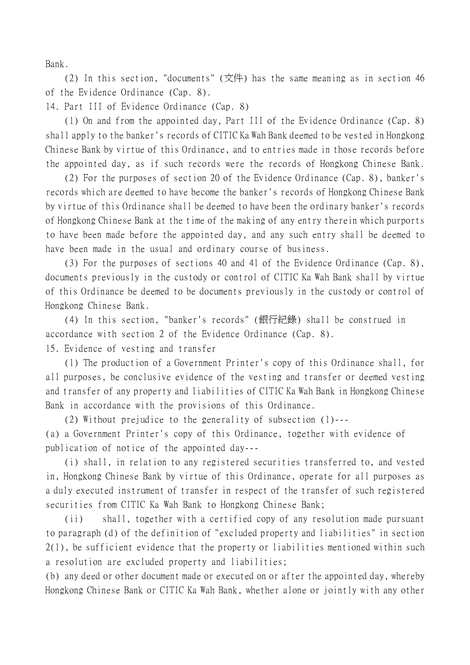Bank.

(2) In this section, "documents" (文件) has the same meaning as in section 46 of the Evidence Ordinance (Cap. 8).

14. Part III of Evidence Ordinance (Cap. 8)

(1) On and from the appointed day, Part III of the Evidence Ordinance (Cap. 8) shall apply to the banker's records of CITIC Ka Wah Bank deemed to be vested in Hongkong Chinese Bank by virtue of this Ordinance, and to entries made in those records before the appointed day, as if such records were the records of Hongkong Chinese Bank.

(2) For the purposes of section 20 of the Evidence Ordinance (Cap. 8), banker's records which are deemed to have become the banker's records of Hongkong Chinese Bank by virtue of this Ordinance shall be deemed to have been the ordinary banker's records of Hongkong Chinese Bank at the time of the making of any entry therein which purports to have been made before the appointed day, and any such entry shall be deemed to have been made in the usual and ordinary course of business.

(3) For the purposes of sections 40 and 41 of the Evidence Ordinance (Cap. 8), documents previously in the custody or control of CITIC Ka Wah Bank shall by virtue of this Ordinance be deemed to be documents previously in the custody or control of Hongkong Chinese Bank.

(4) In this section, "banker's records" (銀行紀錄) shall be construed in accordance with section 2 of the Evidence Ordinance (Cap. 8). 15. Evidence of vesting and transfer

(1) The production of a Government Printer's copy of this Ordinance shall, for all purposes, be conclusive evidence of the vesting and transfer or deemed vesting and transfer of any property and liabilities of CITIC Ka Wah Bank in Hongkong Chinese Bank in accordance with the provisions of this Ordinance.

(2) Without prejudice to the generality of subsection (1)--- (a) a Government Printer's copy of this Ordinance, together with evidence of publication of notice of the appointed day---

(i) shall, in relation to any registered securities transferred to, and vested in, Hongkong Chinese Bank by virtue of this Ordinance, operate for all purposes as a duly executed instrument of transfer in respect of the transfer of such registered securities from CITIC Ka Wah Bank to Hongkong Chinese Bank;

(ii) shall, together with a certified copy of any resolution made pursuant to paragraph (d) of the definition of "excluded property and liabilities" in section 2(1), be sufficient evidence that the property or liabilities mentioned within such a resolution are excluded property and liabilities;

(b) any deed or other document made or executed on or after the appointed day, whereby Hongkong Chinese Bank or CITIC Ka Wah Bank, whether alone or jointly with any other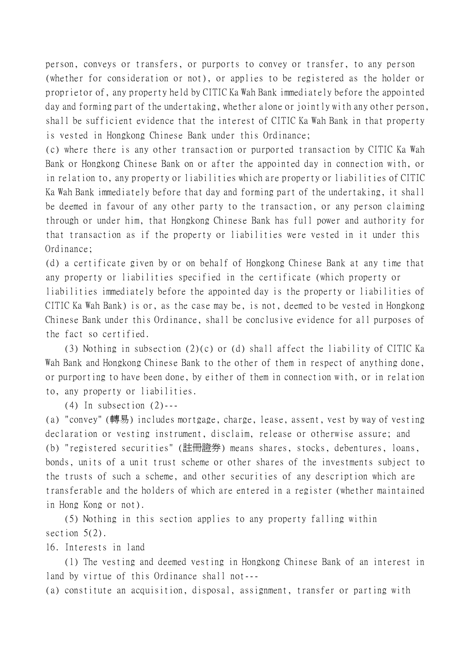person, conveys or transfers, or purports to convey or transfer, to any person (whether for consideration or not), or applies to be registered as the holder or proprietor of, any property held by CITIC Ka Wah Bank immediately before the appointed day and forming part of the undertaking, whether alone or jointly with any other person, shall be sufficient evidence that the interest of CITIC Ka Wah Bank in that property is vested in Hongkong Chinese Bank under this Ordinance;

(c) where there is any other transaction or purported transaction by CITIC Ka Wah Bank or Hongkong Chinese Bank on or after the appointed day in connection with, or in relation to, any property or liabilities which are property or liabilities of CITIC Ka Wah Bank immediately before that day and forming part of the undertaking, it shall be deemed in favour of any other party to the transaction, or any person claiming through or under him, that Hongkong Chinese Bank has full power and authority for that transaction as if the property or liabilities were vested in it under this Ordinance;

(d) a certificate given by or on behalf of Hongkong Chinese Bank at any time that any property or liabilities specified in the certificate (which property or liabilities immediately before the appointed day is the property or liabilities of CITIC Ka Wah Bank) is or, as the case may be, is not, deemed to be vested in Hongkong Chinese Bank under this Ordinance, shall be conclusive evidence for all purposes of the fact so certified.

(3) Nothing in subsection (2)(c) or (d) shall affect the liability of CITIC Ka Wah Bank and Hongkong Chinese Bank to the other of them in respect of anything done, or purporting to have been done, by either of them in connection with, or in relation to, any property or liabilities.

 $(4)$  In subsection  $(2)$ ---

(a) "convey" (轉易) includes mortgage, charge, lease, assent, vest by way of vesting declaration or vesting instrument, disclaim, release or otherwise assure; and (b) "registered securities" (註冊證券) means shares, stocks, debentures, loans, bonds, units of a unit trust scheme or other shares of the investments subject to the trusts of such a scheme, and other securities of any description which are transferable and the holders of which are entered in a register (whether maintained in Hong Kong or not).

(5) Nothing in this section applies to any property falling within section  $5(2)$ .

16. Interests in land

(1) The vesting and deemed vesting in Hongkong Chinese Bank of an interest in land by virtue of this Ordinance shall not---

(a) constitute an acquisition, disposal, assignment, transfer or parting with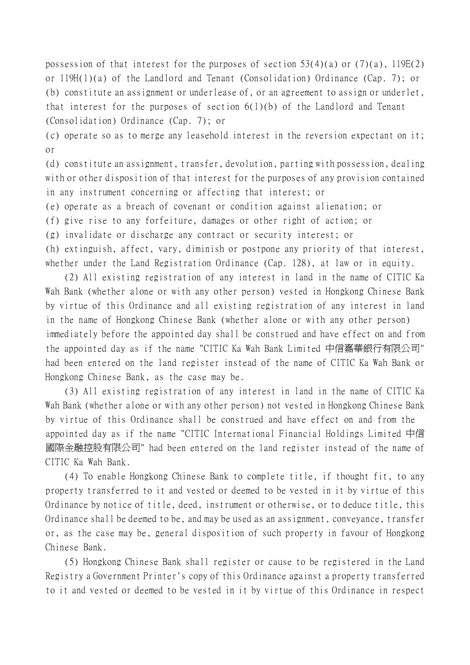possession of that interest for the purposes of section  $53(4)(a)$  or  $(7)(a)$ ,  $119E(2)$ or 119H(1)(a) of the Landlord and Tenant (Consolidation) Ordinance (Cap. 7); or (b) constitute an assignment or underlease of, or an agreement to assign or underlet, that interest for the purposes of section 6(1)(b) of the Landlord and Tenant (Consolidation) Ordinance (Cap. 7); or

(c) operate so as to merge any leasehold interest in the reversion expectant on it; or

(d) constitute an assignment, transfer, devolution, parting with possession, dealing with or other disposition of that interest for the purposes of any provision contained in any instrument concerning or affecting that interest; or

(e) operate as a breach of covenant or condition against alienation; or

(f) give rise to any forfeiture, damages or other right of action; or

(g) invalidate or discharge any contract or security interest; or

(h) extinguish, affect, vary, diminish or postpone any priority of that interest, whether under the Land Registration Ordinance (Cap. 128), at law or in equity.

(2) All existing registration of any interest in land in the name of CITIC Ka Wah Bank (whether alone or with any other person) vested in Hongkong Chinese Bank by virtue of this Ordinance and all existing registration of any interest in land in the name of Hongkong Chinese Bank (whether alone or with any other person) immediately before the appointed day shall be construed and have effect on and from the appointed day as if the name "CITIC Ka Wah Bank Limited 中信嘉華銀行有限公司" had been entered on the land register instead of the name of CITIC Ka Wah Bank or Hongkong Chinese Bank, as the case may be.

(3) All existing registration of any interest in land in the name of CITIC Ka Wah Bank (whether alone or with any other person) not vested in Hongkong Chinese Bank by virtue of this Ordinance shall be construed and have effect on and from the appointed day as if the name "CITIC International Financial Holdings Limited 中信 國際金融控股有限公司" had been entered on the land register instead of the name of CITIC Ka Wah Bank.

(4) To enable Hongkong Chinese Bank to complete title, if thought fit, to any property transferred to it and vested or deemed to be vested in it by virtue of this Ordinance by notice of title, deed, instrument or otherwise, or to deduce title, this Ordinance shall be deemed to be, and may be used as an assignment, conveyance, transfer or, as the case may be, general disposition of such property in favour of Hongkong Chinese Bank.

(5) Hongkong Chinese Bank shall register or cause to be registered in the Land Registry a Government Printer's copy of this Ordinance against a property transferred to it and vested or deemed to be vested in it by virtue of this Ordinance in respect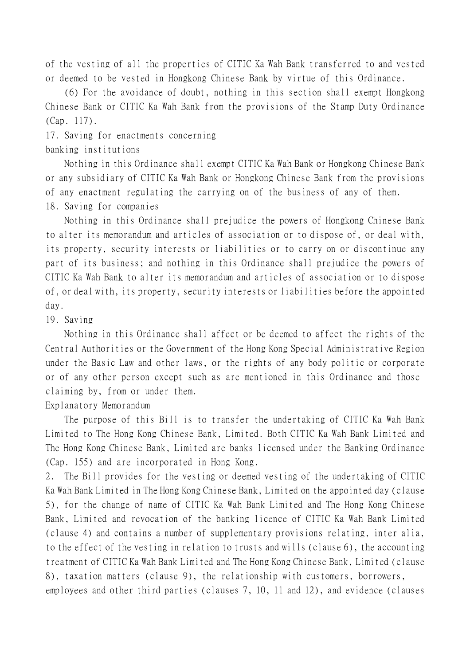of the vesting of all the properties of CITIC Ka Wah Bank transferred to and vested or deemed to be vested in Hongkong Chinese Bank by virtue of this Ordinance.

(6) For the avoidance of doubt, nothing in this section shall exempt Hongkong Chinese Bank or CITIC Ka Wah Bank from the provisions of the Stamp Duty Ordinance (Cap. 117).

17. Saving for enactments concerning

banking institutions

Nothing in this Ordinance shall exempt CITIC Ka Wah Bank or Hongkong Chinese Bank or any subsidiary of CITIC Ka Wah Bank or Hongkong Chinese Bank from the provisions of any enactment regulating the carrying on of the business of any of them. 18. Saving for companies

Nothing in this Ordinance shall prejudice the powers of Hongkong Chinese Bank to alter its memorandum and articles of association or to dispose of, or deal with, its property, security interests or liabilities or to carry on or discontinue any part of its business; and nothing in this Ordinance shall prejudice the powers of CITIC Ka Wah Bank to alter its memorandum and articles of association or to dispose of, or deal with, its property, security interests or liabilities before the appointed day.

## 19. Saving

Nothing in this Ordinance shall affect or be deemed to affect the rights of the Central Authorities or the Government of the Hong Kong Special Administrative Region under the Basic Law and other laws, or the rights of any body politic or corporate or of any other person except such as are mentioned in this Ordinance and those claiming by, from or under them.

Explanatory Memorandum

The purpose of this Bill is to transfer the undertaking of CITIC Ka Wah Bank Limited to The Hong Kong Chinese Bank, Limited. Both CITIC Ka Wah Bank Limited and The Hong Kong Chinese Bank, Limited are banks licensed under the Banking Ordinance (Cap. 155) and are incorporated in Hong Kong.

2. The Bill provides for the vesting or deemed vesting of the undertaking of CITIC Ka Wah Bank Limited in The Hong Kong Chinese Bank, Limited on the appointed day (clause 5), for the change of name of CITIC Ka Wah Bank Limited and The Hong Kong Chinese Bank, Limited and revocation of the banking licence of CITIC Ka Wah Bank Limited (clause 4) and contains a number of supplementary provisions relating, inter alia, to the effect of the vesting in relation to trusts and wills (clause 6), the accounting treatment of CITIC Ka Wah Bank Limited and The Hong Kong Chinese Bank, Limited (clause 8), taxation matters (clause 9), the relationship with customers, borrowers,

employees and other third parties (clauses 7, 10, 11 and 12), and evidence (clauses